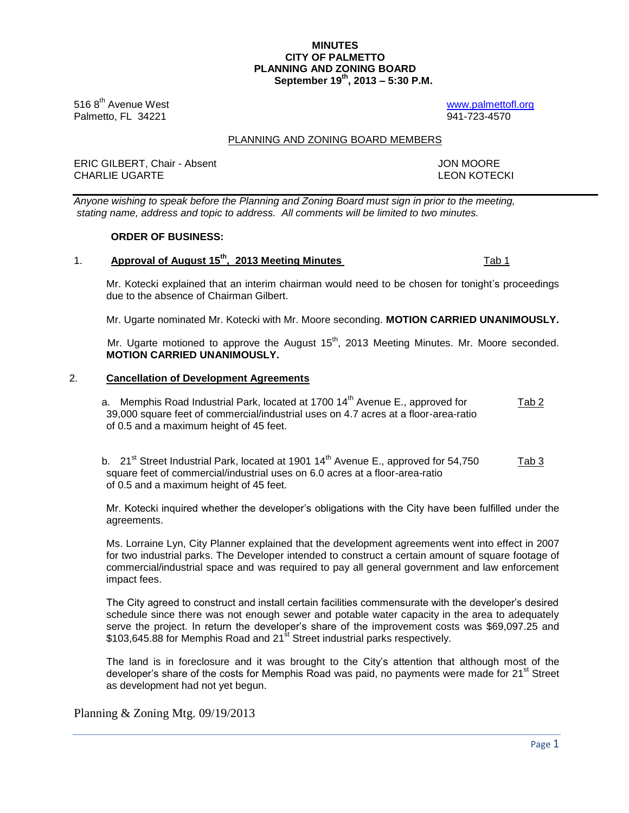# **MINUTES CITY OF PALMETTO PLANNING AND ZONING BOARD September 19th, 2013 – 5:30 P.M.**

516 8<sup>th</sup> Avenue West **by a struck [www.palmettofl.org](http://www.palmettofl.org/)** Palmetto, FL 34221 941-723-4570

## PLANNING AND ZONING BOARD MEMBERS

ERIC GILBERT, Chair - Absent JON MOORE<br>CHARLIE UGARTE GEREE ABSOLUTE ON A LEON KOTECKI CHARLIE UGARTE

*Anyone wishing to speak before the Planning and Zoning Board must sign in prior to the meeting, stating name, address and topic to address. All comments will be limited to two minutes.*

# **ORDER OF BUSINESS:**

# 1. **Approval of August 15<sup>th</sup>, 2013 Meeting Minutes** Tab 1

Mr. Kotecki explained that an interim chairman would need to be chosen for tonight's proceedings due to the absence of Chairman Gilbert.

Mr. Ugarte nominated Mr. Kotecki with Mr. Moore seconding. **MOTION CARRIED UNANIMOUSLY.**

Mr. Ugarte motioned to approve the August  $15<sup>th</sup>$ , 2013 Meeting Minutes. Mr. Moore seconded. **MOTION CARRIED UNANIMOUSLY.**

# 2. **Cancellation of Development Agreements**

| a. Memphis Road Industrial Park, located at 1700 14 <sup>th</sup> Avenue E., approved for | Tab 2 |
|-------------------------------------------------------------------------------------------|-------|
| 39,000 square feet of commercial/industrial uses on 4.7 acres at a floor-area-ratio       |       |
| of 0.5 and a maximum height of 45 feet.                                                   |       |

| b. $21st$ Street Industrial Park, located at 1901 14 <sup>th</sup> Avenue E., approved for 54,750 | <u>Tab 3</u> |
|---------------------------------------------------------------------------------------------------|--------------|
| square feet of commercial/industrial uses on 6.0 acres at a floor-area-ratio                      |              |
| of 0.5 and a maximum height of 45 feet.                                                           |              |

Mr. Kotecki inquired whether the developer's obligations with the City have been fulfilled under the agreements.

Ms. Lorraine Lyn, City Planner explained that the development agreements went into effect in 2007 for two industrial parks. The Developer intended to construct a certain amount of square footage of commercial/industrial space and was required to pay all general government and law enforcement impact fees.

The City agreed to construct and install certain facilities commensurate with the developer's desired schedule since there was not enough sewer and potable water capacity in the area to adequately serve the project. In return the developer's share of the improvement costs was \$69,097.25 and \$103,645.88 for Memphis Road and 21<sup>st</sup> Street industrial parks respectively.

The land is in foreclosure and it was brought to the City's attention that although most of the developer's share of the costs for Memphis Road was paid, no payments were made for 21<sup>st</sup> Street as development had not yet begun.

Planning & Zoning Mtg. 09/19/2013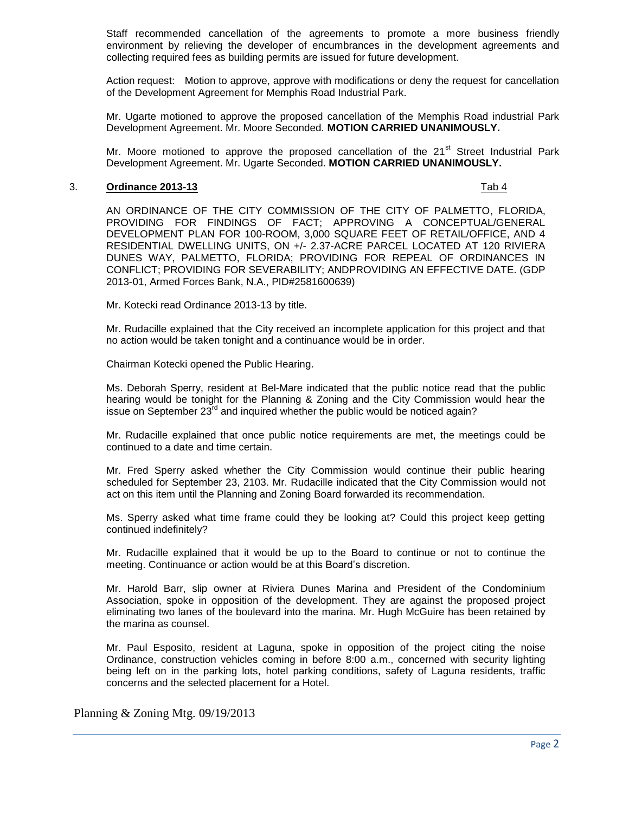Staff recommended cancellation of the agreements to promote a more business friendly environment by relieving the developer of encumbrances in the development agreements and collecting required fees as building permits are issued for future development.

Action request: Motion to approve, approve with modifications or deny the request for cancellation of the Development Agreement for Memphis Road Industrial Park.

Mr. Ugarte motioned to approve the proposed cancellation of the Memphis Road industrial Park Development Agreement. Mr. Moore Seconded. **MOTION CARRIED UNANIMOUSLY.**

Mr. Moore motioned to approve the proposed cancellation of the 21<sup>st</sup> Street Industrial Park Development Agreement. Mr. Ugarte Seconded. **MOTION CARRIED UNANIMOUSLY.**

#### 3. **Ordinance 2013-13** Tab 4

AN ORDINANCE OF THE CITY COMMISSION OF THE CITY OF PALMETTO, FLORIDA, PROVIDING FOR FINDINGS OF FACT; APPROVING A CONCEPTUAL/GENERAL DEVELOPMENT PLAN FOR 100-ROOM, 3,000 SQUARE FEET OF RETAIL/OFFICE, AND 4 RESIDENTIAL DWELLING UNITS, ON +/- 2.37-ACRE PARCEL LOCATED AT 120 RIVIERA DUNES WAY, PALMETTO, FLORIDA; PROVIDING FOR REPEAL OF ORDINANCES IN CONFLICT; PROVIDING FOR SEVERABILITY; ANDPROVIDING AN EFFECTIVE DATE. (GDP 2013-01, Armed Forces Bank, N.A., PID#2581600639)

Mr. Kotecki read Ordinance 2013-13 by title.

Mr. Rudacille explained that the City received an incomplete application for this project and that no action would be taken tonight and a continuance would be in order.

Chairman Kotecki opened the Public Hearing.

Ms. Deborah Sperry, resident at Bel-Mare indicated that the public notice read that the public hearing would be tonight for the Planning & Zoning and the City Commission would hear the issue on September  $23^{\prime\prime}$  and inquired whether the public would be noticed again?

Mr. Rudacille explained that once public notice requirements are met, the meetings could be continued to a date and time certain.

Mr. Fred Sperry asked whether the City Commission would continue their public hearing scheduled for September 23, 2103. Mr. Rudacille indicated that the City Commission would not act on this item until the Planning and Zoning Board forwarded its recommendation.

Ms. Sperry asked what time frame could they be looking at? Could this project keep getting continued indefinitely?

Mr. Rudacille explained that it would be up to the Board to continue or not to continue the meeting. Continuance or action would be at this Board's discretion.

Mr. Harold Barr, slip owner at Riviera Dunes Marina and President of the Condominium Association, spoke in opposition of the development. They are against the proposed project eliminating two lanes of the boulevard into the marina. Mr. Hugh McGuire has been retained by the marina as counsel.

Mr. Paul Esposito, resident at Laguna, spoke in opposition of the project citing the noise Ordinance, construction vehicles coming in before 8:00 a.m., concerned with security lighting being left on in the parking lots, hotel parking conditions, safety of Laguna residents, traffic concerns and the selected placement for a Hotel.

Planning & Zoning Mtg. 09/19/2013